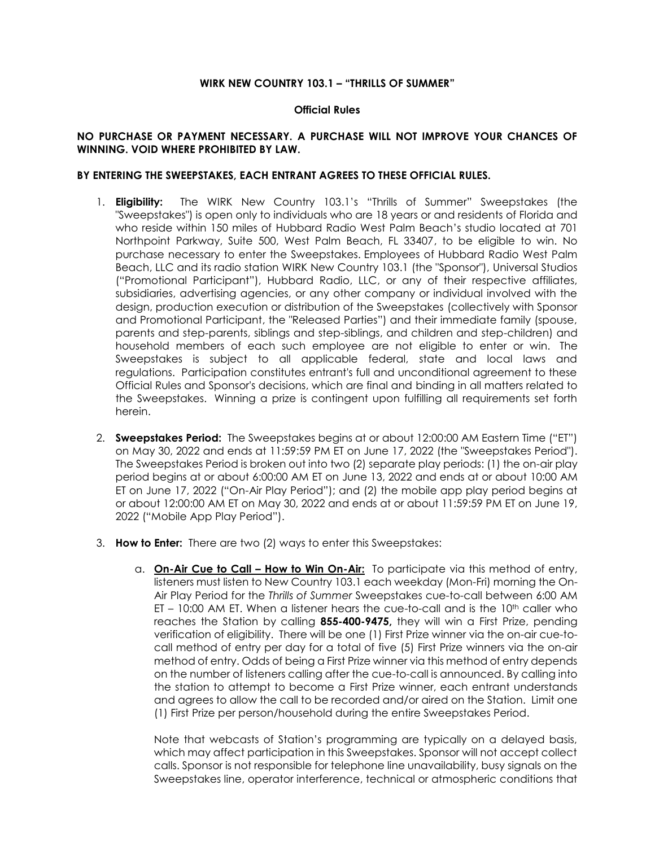## **WIRK NEW COUNTRY 103.1 – "THRILLS OF SUMMER"**

## **Official Rules**

## **NO PURCHASE OR PAYMENT NECESSARY. A PURCHASE WILL NOT IMPROVE YOUR CHANCES OF WINNING. VOID WHERE PROHIBITED BY LAW.**

## **BY ENTERING THE SWEEPSTAKES, EACH ENTRANT AGREES TO THESE OFFICIAL RULES.**

- 1. **Eligibility:** The WIRK New Country 103.1's "Thrills of Summer" Sweepstakes (the "Sweepstakes") is open only to individuals who are 18 years or and residents of Florida and who reside within 150 miles of Hubbard Radio West Palm Beach's studio located at 701 Northpoint Parkway, Suite 500, West Palm Beach, FL 33407, to be eligible to win. No purchase necessary to enter the Sweepstakes. Employees of Hubbard Radio West Palm Beach, LLC and its radio station WIRK New Country 103.1 (the "Sponsor"), Universal Studios ("Promotional Participant"), Hubbard Radio, LLC, or any of their respective affiliates, subsidiaries, advertising agencies, or any other company or individual involved with the design, production execution or distribution of the Sweepstakes (collectively with Sponsor and Promotional Participant, the "Released Parties") and their immediate family (spouse, parents and step-parents, siblings and step-siblings, and children and step-children) and household members of each such employee are not eligible to enter or win. The Sweepstakes is subject to all applicable federal, state and local laws and regulations. Participation constitutes entrant's full and unconditional agreement to these Official Rules and Sponsor's decisions, which are final and binding in all matters related to the Sweepstakes. Winning a prize is contingent upon fulfilling all requirements set forth herein.
- 2. **Sweepstakes Period:** The Sweepstakes begins at or about 12:00:00 AM Eastern Time ("ET") on May 30, 2022 and ends at 11:59:59 PM ET on June 17, 2022 (the "Sweepstakes Period"). The Sweepstakes Period is broken out into two (2) separate play periods: (1) the on-air play period begins at or about 6:00:00 AM ET on June 13, 2022 and ends at or about 10:00 AM ET on June 17, 2022 ("On-Air Play Period"); and (2) the mobile app play period begins at or about 12:00:00 AM ET on May 30, 2022 and ends at or about 11:59:59 PM ET on June 19, 2022 ("Mobile App Play Period").
- 3. **How to Enter:** There are two (2) ways to enter this Sweepstakes:
	- a. **On-Air Cue to Call – How to Win On-Air:** To participate via this method of entry, listeners must listen to New Country 103.1 each weekday (Mon-Fri) morning the On-Air Play Period for the *Thrills of Summer* Sweepstakes cue-to-call between 6:00 AM  $ET - 10:00$  AM ET. When a listener hears the cue-to-call and is the  $10<sup>th</sup>$  caller who reaches the Station by calling **855-400-9475,** they will win a First Prize, pending verification of eligibility. There will be one (1) First Prize winner via the on-air cue-tocall method of entry per day for a total of five (5) First Prize winners via the on-air method of entry. Odds of being a First Prize winner via this method of entry depends on the number of listeners calling after the cue-to-call is announced. By calling into the station to attempt to become a First Prize winner, each entrant understands and agrees to allow the call to be recorded and/or aired on the Station. Limit one (1) First Prize per person/household during the entire Sweepstakes Period.

Note that webcasts of Station's programming are typically on a delayed basis, which may affect participation in this Sweepstakes. Sponsor will not accept collect calls. Sponsor is not responsible for telephone line unavailability, busy signals on the Sweepstakes line, operator interference, technical or atmospheric conditions that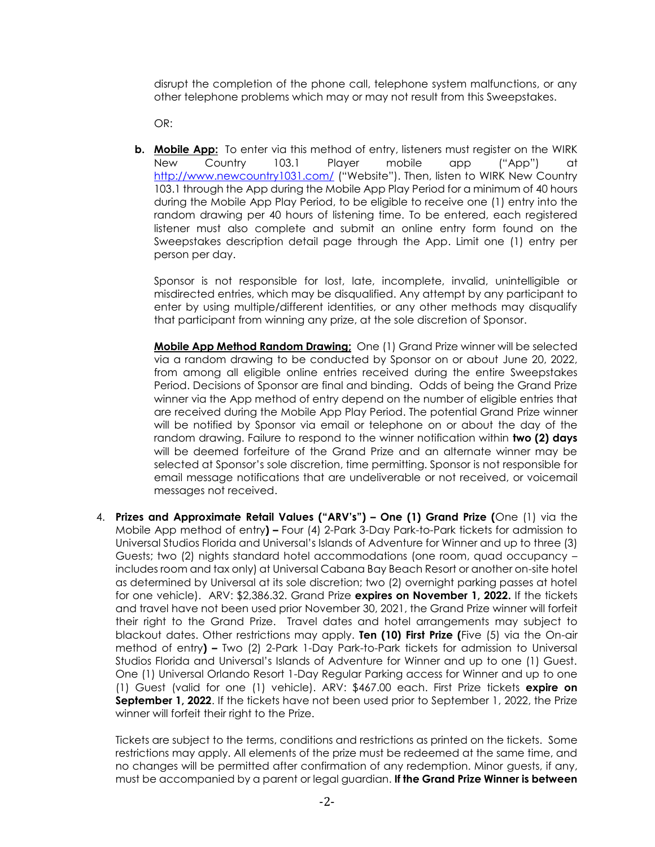disrupt the completion of the phone call, telephone system malfunctions, or any other telephone problems which may or may not result from this Sweepstakes.

OR:

**b. Mobile App:** To enter via this method of entry, listeners must register on the WIRK New Country 103.1 Player mobile app ("App") at <http://www.newcountry1031.com/> ("Website"). Then, listen to WIRK New Country 103.1 through the App during the Mobile App Play Period for a minimum of 40 hours during the Mobile App Play Period, to be eligible to receive one (1) entry into the random drawing per 40 hours of listening time. To be entered, each registered listener must also complete and submit an online entry form found on the Sweepstakes description detail page through the App. Limit one (1) entry per person per day.

Sponsor is not responsible for lost, late, incomplete, invalid, unintelligible or misdirected entries, which may be disqualified. Any attempt by any participant to enter by using multiple/different identities, or any other methods may disqualify that participant from winning any prize, at the sole discretion of Sponsor.

**Mobile App Method Random Drawing;** One (1) Grand Prize winner will be selected via a random drawing to be conducted by Sponsor on or about June 20, 2022, from among all eligible online entries received during the entire Sweepstakes Period. Decisions of Sponsor are final and binding. Odds of being the Grand Prize winner via the App method of entry depend on the number of eligible entries that are received during the Mobile App Play Period. The potential Grand Prize winner will be notified by Sponsor via email or telephone on or about the day of the random drawing. Failure to respond to the winner notification within **two (2) days** will be deemed forfeiture of the Grand Prize and an alternate winner may be selected at Sponsor's sole discretion, time permitting. Sponsor is not responsible for email message notifications that are undeliverable or not received, or voicemail messages not received.

4. **Prizes and Approximate Retail Values ("ARV's") – One (1) Grand Prize (**One (1) via the Mobile App method of entry**) –** Four (4) 2-Park 3-Day Park-to-Park tickets for admission to Universal Studios Florida and Universal's Islands of Adventure for Winner and up to three (3) Guests; two (2) nights standard hotel accommodations (one room, quad occupancy – includes room and tax only) at Universal Cabana Bay Beach Resort or another on-site hotel as determined by Universal at its sole discretion; two (2) overnight parking passes at hotel for one vehicle). ARV: \$2,386.32. Grand Prize **expires on November 1, 2022.** If the tickets and travel have not been used prior November 30, 2021, the Grand Prize winner will forfeit their right to the Grand Prize. Travel dates and hotel arrangements may subject to blackout dates. Other restrictions may apply. **Ten (10) First Prize (**Five (5) via the On-air method of entry**) –** Two (2) 2-Park 1-Day Park-to-Park tickets for admission to Universal Studios Florida and Universal's Islands of Adventure for Winner and up to one (1) Guest. One (1) Universal Orlando Resort 1-Day Regular Parking access for Winner and up to one (1) Guest (valid for one (1) vehicle). ARV: \$467.00 each. First Prize tickets **expire on September 1, 2022**. If the tickets have not been used prior to September 1, 2022, the Prize winner will forfeit their right to the Prize.

Tickets are subject to the terms, conditions and restrictions as printed on the tickets. Some restrictions may apply. All elements of the prize must be redeemed at the same time, and no changes will be permitted after confirmation of any redemption. Minor guests, if any, must be accompanied by a parent or legal guardian. **If the Grand Prize Winner is between**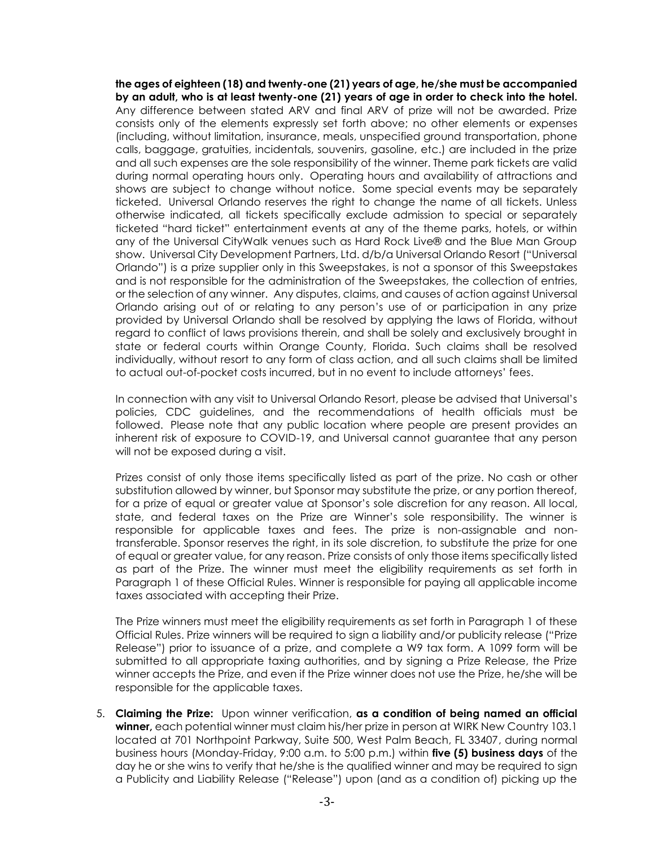**the ages of eighteen (18) and twenty-one (21) years of age, he/she must be accompanied by an adult, who is at least twenty-one (21) years of age in order to check into the hotel.** Any difference between stated ARV and final ARV of prize will not be awarded. Prize consists only of the elements expressly set forth above; no other elements or expenses (including, without limitation, insurance, meals, unspecified ground transportation, phone calls, baggage, gratuities, incidentals, souvenirs, gasoline, etc.) are included in the prize and all such expenses are the sole responsibility of the winner. Theme park tickets are valid during normal operating hours only. Operating hours and availability of attractions and shows are subject to change without notice. Some special events may be separately ticketed. Universal Orlando reserves the right to change the name of all tickets. Unless otherwise indicated, all tickets specifically exclude admission to special or separately ticketed "hard ticket" entertainment events at any of the theme parks, hotels, or within any of the Universal CityWalk venues such as Hard Rock Live® and the Blue Man Group show. Universal City Development Partners, Ltd. d/b/a Universal Orlando Resort ("Universal Orlando") is a prize supplier only in this Sweepstakes, is not a sponsor of this Sweepstakes and is not responsible for the administration of the Sweepstakes, the collection of entries, or the selection of any winner. Any disputes, claims, and causes of action against Universal Orlando arising out of or relating to any person's use of or participation in any prize provided by Universal Orlando shall be resolved by applying the laws of Florida, without regard to conflict of laws provisions therein, and shall be solely and exclusively brought in state or federal courts within Orange County, Florida. Such claims shall be resolved individually, without resort to any form of class action, and all such claims shall be limited to actual out-of-pocket costs incurred, but in no event to include attorneys' fees.

In connection with any visit to Universal Orlando Resort, please be advised that Universal's policies, CDC guidelines, and the recommendations of health officials must be followed. Please note that any public location where people are present provides an inherent risk of exposure to COVID-19, and Universal cannot guarantee that any person will not be exposed during a visit.

Prizes consist of only those items specifically listed as part of the prize. No cash or other substitution allowed by winner, but Sponsor may substitute the prize, or any portion thereof, for a prize of equal or greater value at Sponsor's sole discretion for any reason. All local, state, and federal taxes on the Prize are Winner's sole responsibility. The winner is responsible for applicable taxes and fees. The prize is non-assignable and nontransferable. Sponsor reserves the right, in its sole discretion, to substitute the prize for one of equal or greater value, for any reason. Prize consists of only those items specifically listed as part of the Prize. The winner must meet the eligibility requirements as set forth in Paragraph 1 of these Official Rules. Winner is responsible for paying all applicable income taxes associated with accepting their Prize.

The Prize winners must meet the eligibility requirements as set forth in Paragraph 1 of these Official Rules. Prize winners will be required to sign a liability and/or publicity release ("Prize Release") prior to issuance of a prize, and complete a W9 tax form. A 1099 form will be submitted to all appropriate taxing authorities, and by signing a Prize Release, the Prize winner accepts the Prize, and even if the Prize winner does not use the Prize, he/she will be responsible for the applicable taxes.

5. **Claiming the Prize:** Upon winner verification, **as a condition of being named an official winner,** each potential winner must claim his/her prize in person at WIRK New Country 103.1 located at 701 Northpoint Parkway, Suite 500, West Palm Beach, FL 33407, during normal business hours (Monday-Friday, 9:00 a.m. to 5:00 p.m.) within **five (5) business days** of the day he or she wins to verify that he/she is the qualified winner and may be required to sign a Publicity and Liability Release ("Release") upon (and as a condition of) picking up the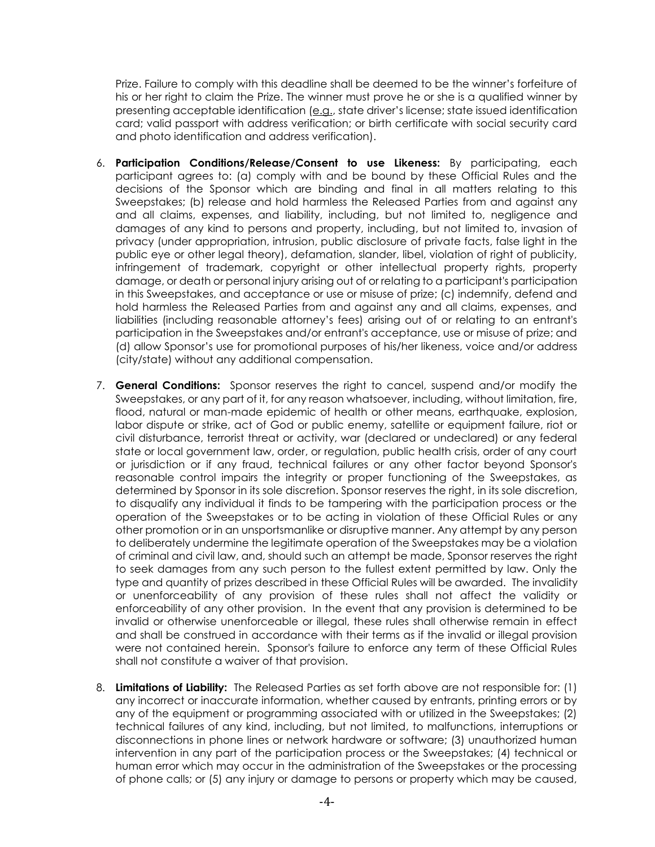Prize. Failure to comply with this deadline shall be deemed to be the winner's forfeiture of his or her right to claim the Prize. The winner must prove he or she is a qualified winner by presenting acceptable identification (e.g., state driver's license; state issued identification card; valid passport with address verification; or birth certificate with social security card and photo identification and address verification).

- 6. **Participation Conditions/Release/Consent to use Likeness:** By participating, each participant agrees to: (a) comply with and be bound by these Official Rules and the decisions of the Sponsor which are binding and final in all matters relating to this Sweepstakes; (b) release and hold harmless the Released Parties from and against any and all claims, expenses, and liability, including, but not limited to, negligence and damages of any kind to persons and property, including, but not limited to, invasion of privacy (under appropriation, intrusion, public disclosure of private facts, false light in the public eye or other legal theory), defamation, slander, libel, violation of right of publicity, infringement of trademark, copyright or other intellectual property rights, property damage, or death or personal injury arising out of or relating to a participant's participation in this Sweepstakes, and acceptance or use or misuse of prize; (c) indemnify, defend and hold harmless the Released Parties from and against any and all claims, expenses, and liabilities (including reasonable attorney's fees) arising out of or relating to an entrant's participation in the Sweepstakes and/or entrant's acceptance, use or misuse of prize; and (d) allow Sponsor's use for promotional purposes of his/her likeness, voice and/or address (city/state) without any additional compensation.
- 7. **General Conditions:** Sponsor reserves the right to cancel, suspend and/or modify the Sweepstakes, or any part of it, for any reason whatsoever, including, without limitation, fire, flood, natural or man-made epidemic of health or other means, earthquake, explosion, labor dispute or strike, act of God or public enemy, satellite or equipment failure, riot or civil disturbance, terrorist threat or activity, war (declared or undeclared) or any federal state or local government law, order, or regulation, public health crisis, order of any court or jurisdiction or if any fraud, technical failures or any other factor beyond Sponsor's reasonable control impairs the integrity or proper functioning of the Sweepstakes, as determined by Sponsor in its sole discretion. Sponsor reserves the right, in its sole discretion, to disqualify any individual it finds to be tampering with the participation process or the operation of the Sweepstakes or to be acting in violation of these Official Rules or any other promotion or in an unsportsmanlike or disruptive manner. Any attempt by any person to deliberately undermine the legitimate operation of the Sweepstakes may be a violation of criminal and civil law, and, should such an attempt be made, Sponsor reserves the right to seek damages from any such person to the fullest extent permitted by law. Only the type and quantity of prizes described in these Official Rules will be awarded. The invalidity or unenforceability of any provision of these rules shall not affect the validity or enforceability of any other provision. In the event that any provision is determined to be invalid or otherwise unenforceable or illegal, these rules shall otherwise remain in effect and shall be construed in accordance with their terms as if the invalid or illegal provision were not contained herein. Sponsor's failure to enforce any term of these Official Rules shall not constitute a waiver of that provision.
- 8. **Limitations of Liability:** The Released Parties as set forth above are not responsible for: (1) any incorrect or inaccurate information, whether caused by entrants, printing errors or by any of the equipment or programming associated with or utilized in the Sweepstakes; (2) technical failures of any kind, including, but not limited, to malfunctions, interruptions or disconnections in phone lines or network hardware or software; (3) unauthorized human intervention in any part of the participation process or the Sweepstakes; (4) technical or human error which may occur in the administration of the Sweepstakes or the processing of phone calls; or (5) any injury or damage to persons or property which may be caused,